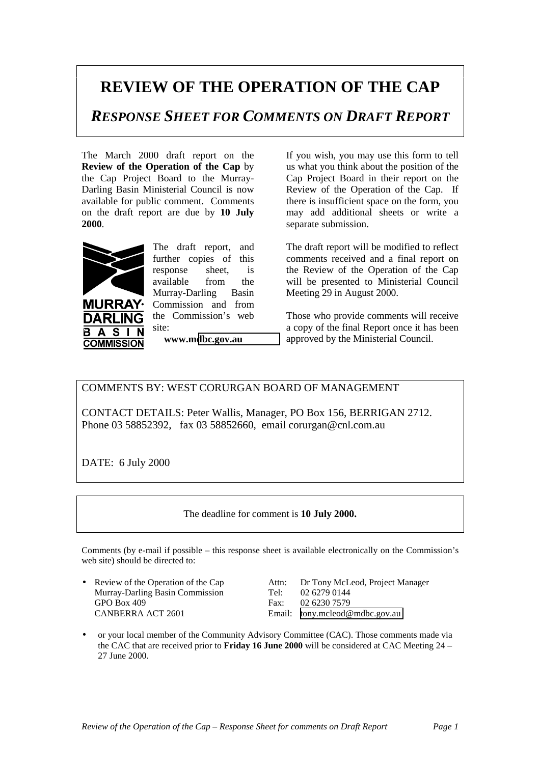## **REVIEW OF THE OPERATION OF THE CAP**

*RESPONSE SHEET FOR COMMENTS ON DRAFT REPORT*

The March 2000 draft report on the **Review of the Operation of the Cap** by the Cap Project Board to the Murray-Darling Basin Ministerial Council is now available for public comment. Comments on the draft report are due by **10 July 2000**.



DARI IN  $\mathbf{A}$ **S** 

**COMMISSION** 

В

**URRAY·** 

The draft report, and further copies of this response sheet, is available from the Murray-Darling Basin Commission and from the Commission's web site:

**www.m[dbc.gov.au](http://www.mdbc.gov.au/)**

If you wish, you may use this form to tell us what you think about the position of the Cap Project Board in their report on the Review of the Operation of the Cap. If there is insufficient space on the form, you may add additional sheets or write a separate submission.

The draft report will be modified to reflect comments received and a final report on the Review of the Operation of the Cap will be presented to Ministerial Council Meeting 29 in August 2000.

Those who provide comments will receive a copy of the final Report once it has been approved by the Ministerial Council.

COMMENTS BY: WEST CORURGAN BOARD OF MANAGEMENT

CONTACT DETAILS: Peter Wallis, Manager, PO Box 156, BERRIGAN 2712. Phone 03 58852392, fax 03 58852660, email corurgan@cnl.com.au

DATE: 6 July 2000

The deadline for comment is **10 July 2000.**

Comments (by e-mail if possible – this response sheet is available electronically on the Commission's web site) should be directed to:

Murray-Darling Basin Commission GPO Box 409 Fax: 02 6230 7579 CANBERRA ACT 2601 Email: [tony.mcleod@mdbc.gov.au](mailto:tony.mcleod@mdbc.gov.au)

• Review of the Operation of the Cap Attn: Dr Tony McLeod, Project Manager

• or your local member of the Community Advisory Committee (CAC). Those comments made via the CAC that are received prior to **Friday 16 June 2000** will be considered at CAC Meeting 24 – 27 June 2000.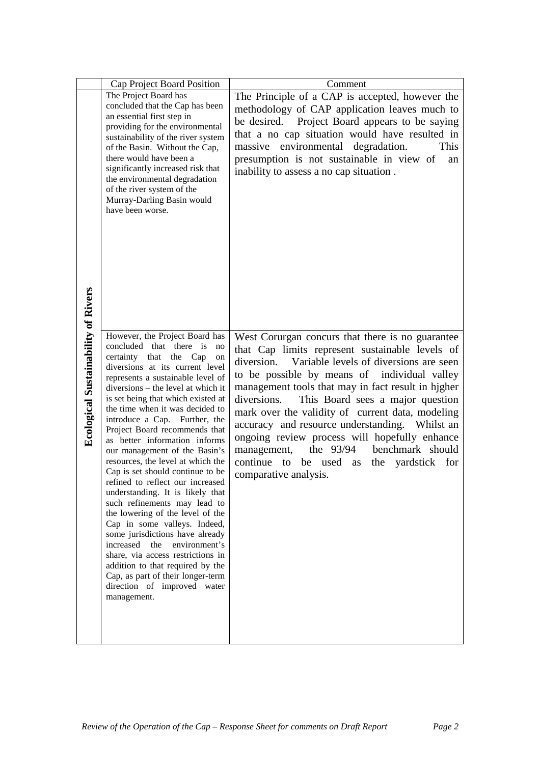|                                            | Cap Project Board Position                                              | Comment                                                                                            |
|--------------------------------------------|-------------------------------------------------------------------------|----------------------------------------------------------------------------------------------------|
|                                            | The Project Board has                                                   | The Principle of a CAP is accepted, however the                                                    |
|                                            | concluded that the Cap has been<br>an essential first step in           | methodology of CAP application leaves much to                                                      |
|                                            | providing for the environmental                                         | be desired. Project Board appears to be saying                                                     |
|                                            | sustainability of the river system                                      | that a no cap situation would have resulted in                                                     |
|                                            | of the Basin. Without the Cap,<br>there would have been a               | massive environmental degradation.<br>This<br>presumption is not sustainable in view of<br>an      |
|                                            | significantly increased risk that                                       | inability to assess a no cap situation.                                                            |
|                                            | the environmental degradation<br>of the river system of the             |                                                                                                    |
|                                            | Murray-Darling Basin would                                              |                                                                                                    |
|                                            | have been worse.                                                        |                                                                                                    |
|                                            |                                                                         |                                                                                                    |
|                                            |                                                                         |                                                                                                    |
|                                            |                                                                         |                                                                                                    |
|                                            |                                                                         |                                                                                                    |
|                                            |                                                                         |                                                                                                    |
|                                            |                                                                         |                                                                                                    |
|                                            |                                                                         |                                                                                                    |
|                                            | However, the Project Board has                                          | West Corurgan concurs that there is no guarantee                                                   |
|                                            | concluded that there is<br>no<br>certainty that the Cap<br>on           | that Cap limits represent sustainable levels of                                                    |
| <b>Ecological Sustainability of Rivers</b> | diversions at its current level                                         | diversion. Variable levels of diversions are seen                                                  |
|                                            | represents a sustainable level of<br>diversions – the level at which it | to be possible by means of individual valley<br>management tools that may in fact result in higher |
|                                            | is set being that which existed at                                      | diversions.<br>This Board sees a major question                                                    |
|                                            | the time when it was decided to<br>introduce a Cap. Further, the        | mark over the validity of current data, modeling                                                   |
|                                            | Project Board recommends that                                           | accuracy and resource understanding. Whilst an                                                     |
|                                            | as better information informs                                           | ongoing review process will hopefully enhance<br>benchmark should<br>the 93/94<br>management,      |
|                                            | our management of the Basin's<br>resources, the level at which the      | continue<br>be used as<br>the<br>yardstick for<br>to                                               |
|                                            | Cap is set should continue to be                                        | comparative analysis.                                                                              |
|                                            | refined to reflect our increased<br>understanding. It is likely that    |                                                                                                    |
|                                            | such refinements may lead to                                            |                                                                                                    |
|                                            | the lowering of the level of the<br>Cap in some valleys. Indeed,        |                                                                                                    |
|                                            | some jurisdictions have already                                         |                                                                                                    |
|                                            | increased<br>the<br>environment's<br>share, via access restrictions in  |                                                                                                    |
|                                            | addition to that required by the                                        |                                                                                                    |
|                                            | Cap, as part of their longer-term<br>direction of improved water        |                                                                                                    |
|                                            | management.                                                             |                                                                                                    |
|                                            |                                                                         |                                                                                                    |
|                                            |                                                                         |                                                                                                    |
|                                            |                                                                         |                                                                                                    |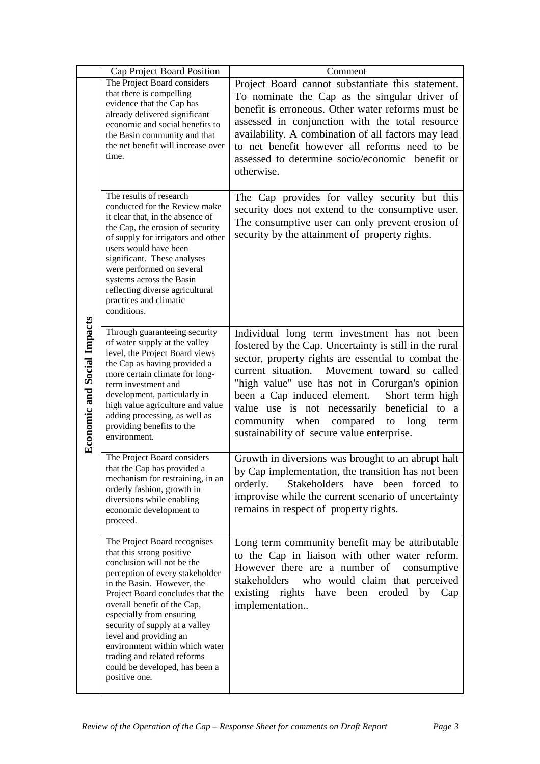|                                    | Cap Project Board Position                                                                                                                                                                                                                                                                                                                                                                                                              | Comment                                                                                                                                                                                                                                                                                                                                                                                                                                                                |
|------------------------------------|-----------------------------------------------------------------------------------------------------------------------------------------------------------------------------------------------------------------------------------------------------------------------------------------------------------------------------------------------------------------------------------------------------------------------------------------|------------------------------------------------------------------------------------------------------------------------------------------------------------------------------------------------------------------------------------------------------------------------------------------------------------------------------------------------------------------------------------------------------------------------------------------------------------------------|
| <b>Economic and Social Impacts</b> | The Project Board considers<br>that there is compelling<br>evidence that the Cap has<br>already delivered significant<br>economic and social benefits to<br>the Basin community and that<br>the net benefit will increase over<br>time.                                                                                                                                                                                                 | Project Board cannot substantiate this statement.<br>To nominate the Cap as the singular driver of<br>benefit is erroneous. Other water reforms must be<br>assessed in conjunction with the total resource<br>availability. A combination of all factors may lead<br>to net benefit however all reforms need to be<br>assessed to determine socio/economic benefit or<br>otherwise.                                                                                    |
|                                    | The results of research<br>conducted for the Review make<br>it clear that, in the absence of<br>the Cap, the erosion of security<br>of supply for irrigators and other<br>users would have been<br>significant. These analyses<br>were performed on several<br>systems across the Basin<br>reflecting diverse agricultural<br>practices and climatic<br>conditions.                                                                     | The Cap provides for valley security but this<br>security does not extend to the consumptive user.<br>The consumptive user can only prevent erosion of<br>security by the attainment of property rights.                                                                                                                                                                                                                                                               |
|                                    | Through guaranteeing security<br>of water supply at the valley<br>level, the Project Board views<br>the Cap as having provided a<br>more certain climate for long-<br>term investment and<br>development, particularly in<br>high value agriculture and value<br>adding processing, as well as<br>providing benefits to the<br>environment.                                                                                             | Individual long term investment has not been<br>fostered by the Cap. Uncertainty is still in the rural<br>sector, property rights are essential to combat the<br>current situation.<br>Movement toward so called<br>"high value" use has not in Corurgan's opinion<br>been a Cap induced element.<br>Short term high<br>value use is not necessarily beneficial<br>to a<br>community when compared<br>long<br>to<br>term<br>sustainability of secure value enterprise. |
|                                    | The Project Board considers<br>that the Cap has provided a<br>mechanism for restraining, in an<br>orderly fashion, growth in<br>diversions while enabling<br>economic development to<br>proceed.                                                                                                                                                                                                                                        | Growth in diversions was brought to an abrupt halt<br>by Cap implementation, the transition has not been<br>Stakeholders have been forced to<br>orderly.<br>improvise while the current scenario of uncertainty<br>remains in respect of property rights.                                                                                                                                                                                                              |
|                                    | The Project Board recognises<br>that this strong positive<br>conclusion will not be the<br>perception of every stakeholder<br>in the Basin. However, the<br>Project Board concludes that the<br>overall benefit of the Cap,<br>especially from ensuring<br>security of supply at a valley<br>level and providing an<br>environment within which water<br>trading and related reforms<br>could be developed, has been a<br>positive one. | Long term community benefit may be attributable<br>to the Cap in liaison with other water reform.<br>However there are a number of<br>consumptive<br>stakeholders who would claim that perceived<br>existing rights have been eroded by<br>Cap<br>implementation                                                                                                                                                                                                       |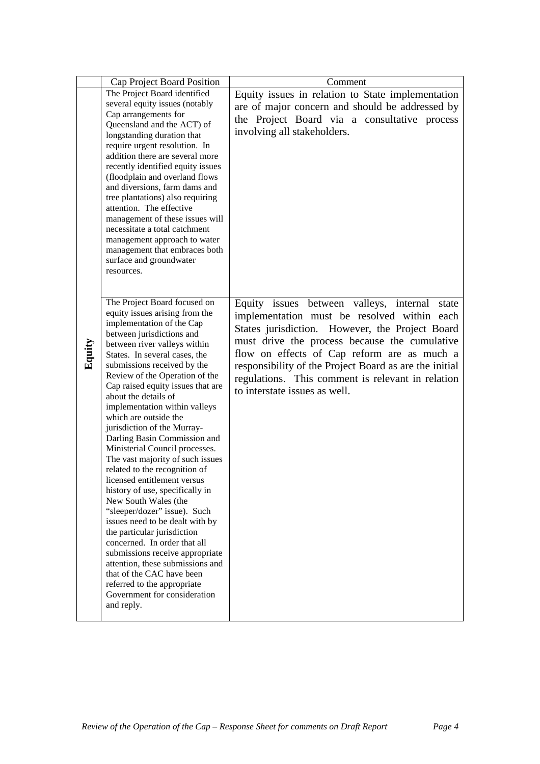|        | Cap Project Board Position                                     | Comment                                                |
|--------|----------------------------------------------------------------|--------------------------------------------------------|
|        | The Project Board identified                                   | Equity issues in relation to State implementation      |
|        | several equity issues (notably                                 | are of major concern and should be addressed by        |
|        | Cap arrangements for                                           | the Project Board via a consultative process           |
|        | Queensland and the ACT) of                                     |                                                        |
|        | longstanding duration that                                     | involving all stakeholders.                            |
|        | require urgent resolution. In                                  |                                                        |
|        | addition there are several more                                |                                                        |
|        | recently identified equity issues                              |                                                        |
|        | (floodplain and overland flows                                 |                                                        |
|        | and diversions, farm dams and                                  |                                                        |
|        | tree plantations) also requiring                               |                                                        |
|        | attention. The effective                                       |                                                        |
|        | management of these issues will                                |                                                        |
|        | necessitate a total catchment                                  |                                                        |
|        | management approach to water                                   |                                                        |
|        | management that embraces both                                  |                                                        |
|        | surface and groundwater                                        |                                                        |
|        | resources.                                                     |                                                        |
|        |                                                                |                                                        |
|        | The Project Board focused on                                   | Equity issues between valleys, internal<br>state       |
|        | equity issues arising from the                                 | implementation must be resolved within each            |
|        | implementation of the Cap                                      |                                                        |
|        | between jurisdictions and                                      | States jurisdiction. However, the Project Board        |
|        | between river valleys within                                   | must drive the process because the cumulative          |
| Equity | States. In several cases, the                                  | flow on effects of Cap reform are as much a            |
|        | submissions received by the                                    | responsibility of the Project Board as are the initial |
|        | Review of the Operation of the                                 | regulations. This comment is relevant in relation      |
|        | Cap raised equity issues that are                              | to interstate issues as well.                          |
|        | about the details of                                           |                                                        |
|        | implementation within valleys                                  |                                                        |
|        | which are outside the                                          |                                                        |
|        | jurisdiction of the Murray-                                    |                                                        |
|        | Darling Basin Commission and                                   |                                                        |
|        | Ministerial Council processes.                                 |                                                        |
|        | The vast majority of such issues                               |                                                        |
|        | related to the recognition of                                  |                                                        |
|        | licensed entitlement versus<br>history of use, specifically in |                                                        |
|        | New South Wales (the                                           |                                                        |
|        | "sleeper/dozer" issue). Such                                   |                                                        |
|        | issues need to be dealt with by                                |                                                        |
|        | the particular jurisdiction                                    |                                                        |
|        | concerned. In order that all                                   |                                                        |
|        | submissions receive appropriate                                |                                                        |
|        | attention, these submissions and                               |                                                        |
|        | that of the CAC have been                                      |                                                        |
|        | referred to the appropriate                                    |                                                        |
|        | Government for consideration                                   |                                                        |
|        |                                                                |                                                        |
|        | and reply.                                                     |                                                        |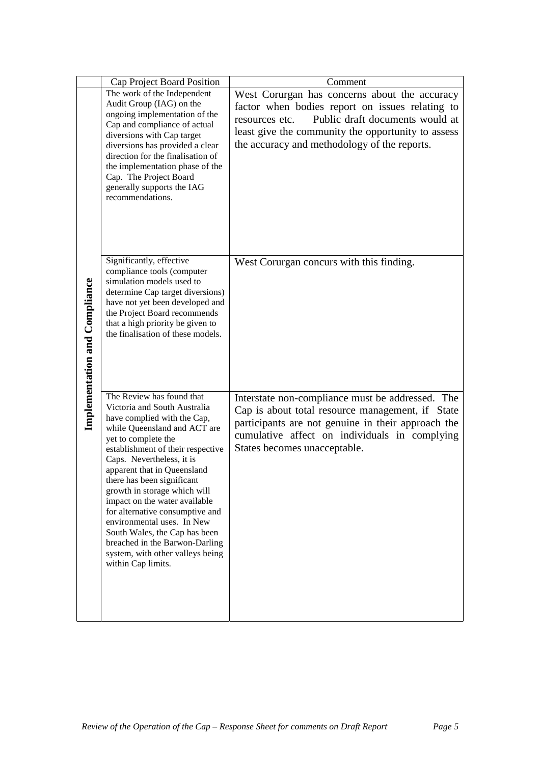|                                      | Cap Project Board Position                                           | Comment                                                                                                |
|--------------------------------------|----------------------------------------------------------------------|--------------------------------------------------------------------------------------------------------|
|                                      | The work of the Independent                                          | West Corurgan has concerns about the accuracy                                                          |
|                                      | Audit Group (IAG) on the<br>ongoing implementation of the            | factor when bodies report on issues relating to                                                        |
|                                      | Cap and compliance of actual                                         | Public draft documents would at<br>resources etc.                                                      |
|                                      | diversions with Cap target                                           | least give the community the opportunity to assess                                                     |
|                                      | diversions has provided a clear                                      | the accuracy and methodology of the reports.                                                           |
|                                      | direction for the finalisation of<br>the implementation phase of the |                                                                                                        |
|                                      | Cap. The Project Board                                               |                                                                                                        |
|                                      | generally supports the IAG<br>recommendations.                       |                                                                                                        |
|                                      |                                                                      |                                                                                                        |
|                                      |                                                                      |                                                                                                        |
|                                      |                                                                      |                                                                                                        |
|                                      |                                                                      |                                                                                                        |
|                                      | Significantly, effective                                             | West Corurgan concurs with this finding.                                                               |
|                                      | compliance tools (computer<br>simulation models used to              |                                                                                                        |
|                                      | determine Cap target diversions)                                     |                                                                                                        |
|                                      | have not yet been developed and                                      |                                                                                                        |
|                                      | the Project Board recommends<br>that a high priority be given to     |                                                                                                        |
|                                      | the finalisation of these models.                                    |                                                                                                        |
|                                      |                                                                      |                                                                                                        |
|                                      |                                                                      |                                                                                                        |
|                                      |                                                                      |                                                                                                        |
| <b>Implementation and Compliance</b> | The Review has found that<br>Victoria and South Australia            | Interstate non-compliance must be addressed. The                                                       |
|                                      | have complied with the Cap,                                          | Cap is about total resource management, if State<br>participants are not genuine in their approach the |
|                                      | while Queensland and ACT are<br>yet to complete the                  | cumulative affect on individuals in complying                                                          |
|                                      | establishment of their respective                                    | States becomes unacceptable.                                                                           |
|                                      | Caps. Nevertheless, it is                                            |                                                                                                        |
|                                      | apparent that in Queensland<br>there has been significant            |                                                                                                        |
|                                      | growth in storage which will                                         |                                                                                                        |
|                                      | impact on the water available<br>for alternative consumptive and     |                                                                                                        |
|                                      | environmental uses. In New                                           |                                                                                                        |
|                                      | South Wales, the Cap has been                                        |                                                                                                        |
|                                      | breached in the Barwon-Darling<br>system, with other valleys being   |                                                                                                        |
|                                      | within Cap limits.                                                   |                                                                                                        |
|                                      |                                                                      |                                                                                                        |
|                                      |                                                                      |                                                                                                        |
|                                      |                                                                      |                                                                                                        |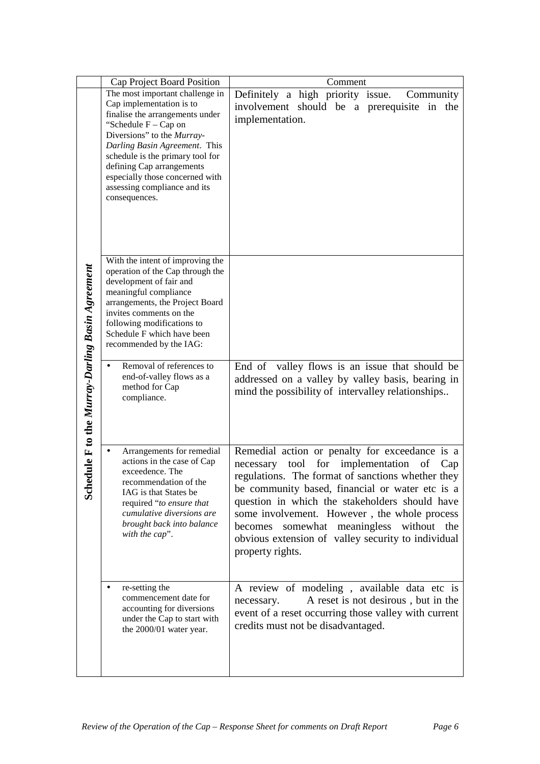|                                                     | Cap Project Board Position                                                                                                                                                                                                                                                                                                                                             | Comment                                                                                                                                                                                                                                                                                                                                                                                                                                            |
|-----------------------------------------------------|------------------------------------------------------------------------------------------------------------------------------------------------------------------------------------------------------------------------------------------------------------------------------------------------------------------------------------------------------------------------|----------------------------------------------------------------------------------------------------------------------------------------------------------------------------------------------------------------------------------------------------------------------------------------------------------------------------------------------------------------------------------------------------------------------------------------------------|
| dule F to the Murray-Darling Basin Agreement<br>Sch | The most important challenge in<br>Cap implementation is to<br>finalise the arrangements under<br>"Schedule $F - Cap$ on<br>Diversions" to the Murray-<br>Darling Basin Agreement. This<br>schedule is the primary tool for<br>defining Cap arrangements<br>especially those concerned with<br>assessing compliance and its<br>consequences.                           | Definitely a high priority issue.<br>Community<br>involvement should be a prerequisite in the<br>implementation.                                                                                                                                                                                                                                                                                                                                   |
|                                                     | With the intent of improving the<br>operation of the Cap through the<br>development of fair and<br>meaningful compliance<br>arrangements, the Project Board<br>invites comments on the<br>following modifications to<br>Schedule F which have been<br>recommended by the IAG:<br>Removal of references to<br>end-of-valley flows as a<br>method for Cap<br>compliance. | End of valley flows is an issue that should be<br>addressed on a valley by valley basis, bearing in<br>mind the possibility of intervalley relationships                                                                                                                                                                                                                                                                                           |
|                                                     | Arrangements for remedial<br>$\bullet$<br>actions in the case of Cap<br>exceedence. The<br>recommendation of the<br>IAG is that States be<br>required "to ensure that<br>cumulative diversions are<br>brought back into balance<br>with the cap".                                                                                                                      | Remedial action or penalty for exceedance is a<br>tool<br>for<br>implementation<br>necessary<br>of<br>Cap<br>regulations. The format of sanctions whether they<br>be community based, financial or water etc is a<br>question in which the stakeholders should have<br>some involvement. However, the whole process<br>somewhat meaningless<br>without<br>becomes<br>the<br>obvious extension of valley security to individual<br>property rights. |
|                                                     | re-setting the<br>commencement date for<br>accounting for diversions<br>under the Cap to start with<br>the 2000/01 water year.                                                                                                                                                                                                                                         | A review of modeling, available data etc is<br>A reset is not desirous, but in the<br>necessary.<br>event of a reset occurring those valley with current<br>credits must not be disadvantaged.                                                                                                                                                                                                                                                     |